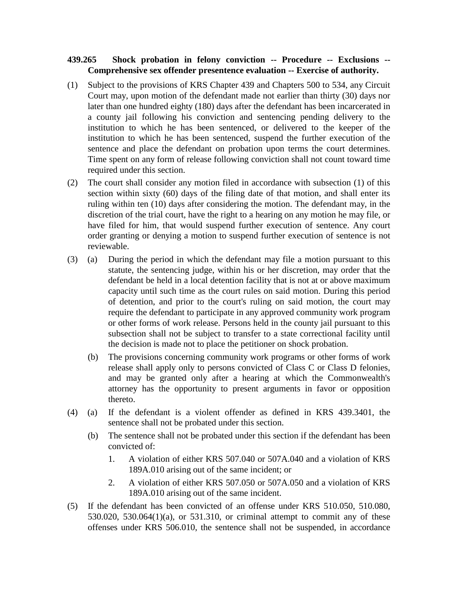## **439.265 Shock probation in felony conviction -- Procedure -- Exclusions -- Comprehensive sex offender presentence evaluation -- Exercise of authority.**

- (1) Subject to the provisions of KRS Chapter 439 and Chapters 500 to 534, any Circuit Court may, upon motion of the defendant made not earlier than thirty (30) days nor later than one hundred eighty (180) days after the defendant has been incarcerated in a county jail following his conviction and sentencing pending delivery to the institution to which he has been sentenced, or delivered to the keeper of the institution to which he has been sentenced, suspend the further execution of the sentence and place the defendant on probation upon terms the court determines. Time spent on any form of release following conviction shall not count toward time required under this section.
- (2) The court shall consider any motion filed in accordance with subsection (1) of this section within sixty (60) days of the filing date of that motion, and shall enter its ruling within ten (10) days after considering the motion. The defendant may, in the discretion of the trial court, have the right to a hearing on any motion he may file, or have filed for him, that would suspend further execution of sentence. Any court order granting or denying a motion to suspend further execution of sentence is not reviewable.
- (3) (a) During the period in which the defendant may file a motion pursuant to this statute, the sentencing judge, within his or her discretion, may order that the defendant be held in a local detention facility that is not at or above maximum capacity until such time as the court rules on said motion. During this period of detention, and prior to the court's ruling on said motion, the court may require the defendant to participate in any approved community work program or other forms of work release. Persons held in the county jail pursuant to this subsection shall not be subject to transfer to a state correctional facility until the decision is made not to place the petitioner on shock probation.
	- (b) The provisions concerning community work programs or other forms of work release shall apply only to persons convicted of Class C or Class D felonies, and may be granted only after a hearing at which the Commonwealth's attorney has the opportunity to present arguments in favor or opposition thereto.
- (4) (a) If the defendant is a violent offender as defined in KRS 439.3401, the sentence shall not be probated under this section.
	- (b) The sentence shall not be probated under this section if the defendant has been convicted of:
		- 1. A violation of either KRS 507.040 or 507A.040 and a violation of KRS 189A.010 arising out of the same incident; or
		- 2. A violation of either KRS 507.050 or 507A.050 and a violation of KRS 189A.010 arising out of the same incident.
- (5) If the defendant has been convicted of an offense under KRS 510.050, 510.080, 530.020, 530.064(1)(a), or 531.310, or criminal attempt to commit any of these offenses under KRS 506.010, the sentence shall not be suspended, in accordance